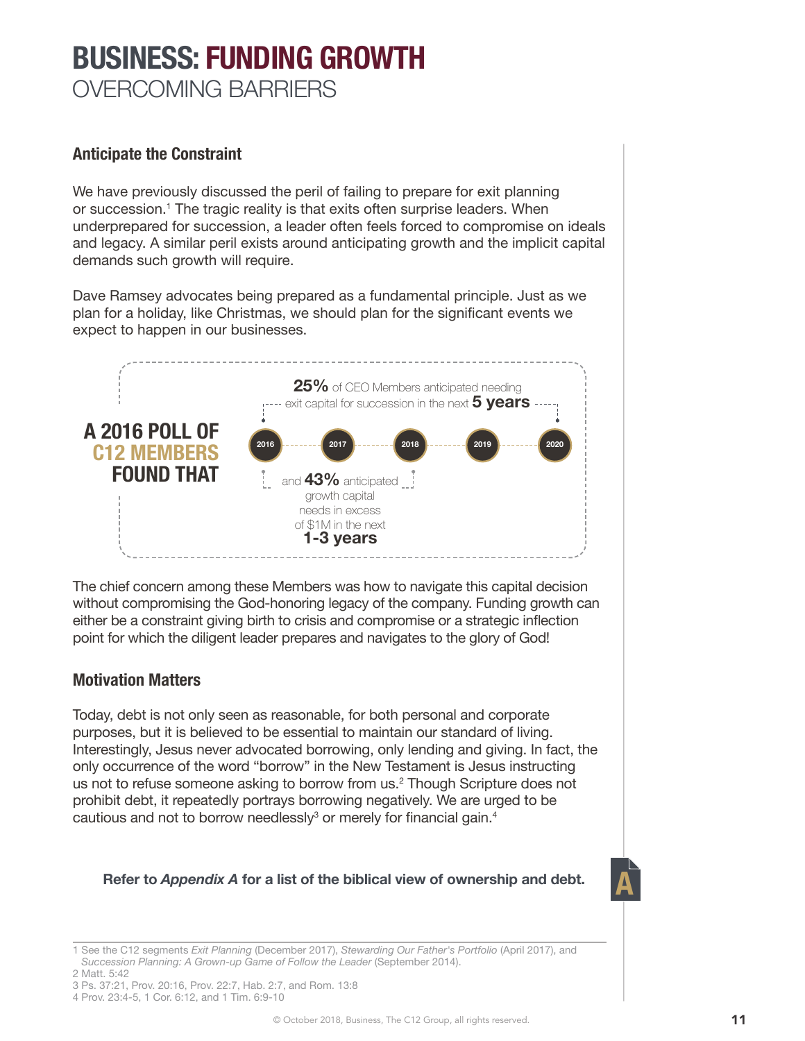# **BUSINESS: FUNDING GROWTH** OVERCOMING BARRIERS

**Anticipate the Constraint**

We have previously discussed the peril of failing to prepare for exit planning or succession.1 The tragic reality is that exits often surprise leaders. When underprepared for succession, a leader often feels forced to compromise on ideals and legacy. A similar peril exists around anticipating growth and the implicit capital demands such growth will require.

Dave Ramsey advocates being prepared as a fundamental principle. Just as we plan for a holiday, like Christmas, we should plan for the significant events we expect to happen in our businesses.



The chief concern among these Members was how to navigate this capital decision without compromising the God-honoring legacy of the company. Funding growth can either be a constraint giving birth to crisis and compromise or a strategic inflection point for which the diligent leader prepares and navigates to the glory of God!

# **Motivation Matters**

Today, debt is not only seen as reasonable, for both personal and corporate purposes, but it is believed to be essential to maintain our standard of living. Interestingly, Jesus never advocated borrowing, only lending and giving. In fact, the only occurrence of the word "borrow" in the New Testament is Jesus instructing us not to refuse someone asking to borrow from us.2 Though Scripture does not prohibit debt, it repeatedly portrays borrowing negatively. We are urged to be cautious and not to borrow needlessly $^3$  or merely for financial gain. $^4$ 

## **A Refer to** *Appendix A* **for a list of the biblical view of ownership and debt.**



<sup>1</sup> See the C12 segments *Exit Planning* (December 2017), *Stewarding Our Father's Portfolio* (April 2017), and *Succession Planning: A Grown-up Game of Follow the Leader* (September 2014).

- 2 Matt. 5:42
- 3 Ps. 37:21, Prov. 20:16, Prov. 22:7, Hab. 2:7, and Rom. 13:8
- 4 Prov. 23:4-5, 1 Cor. 6:12, and 1 Tim. 6:9-10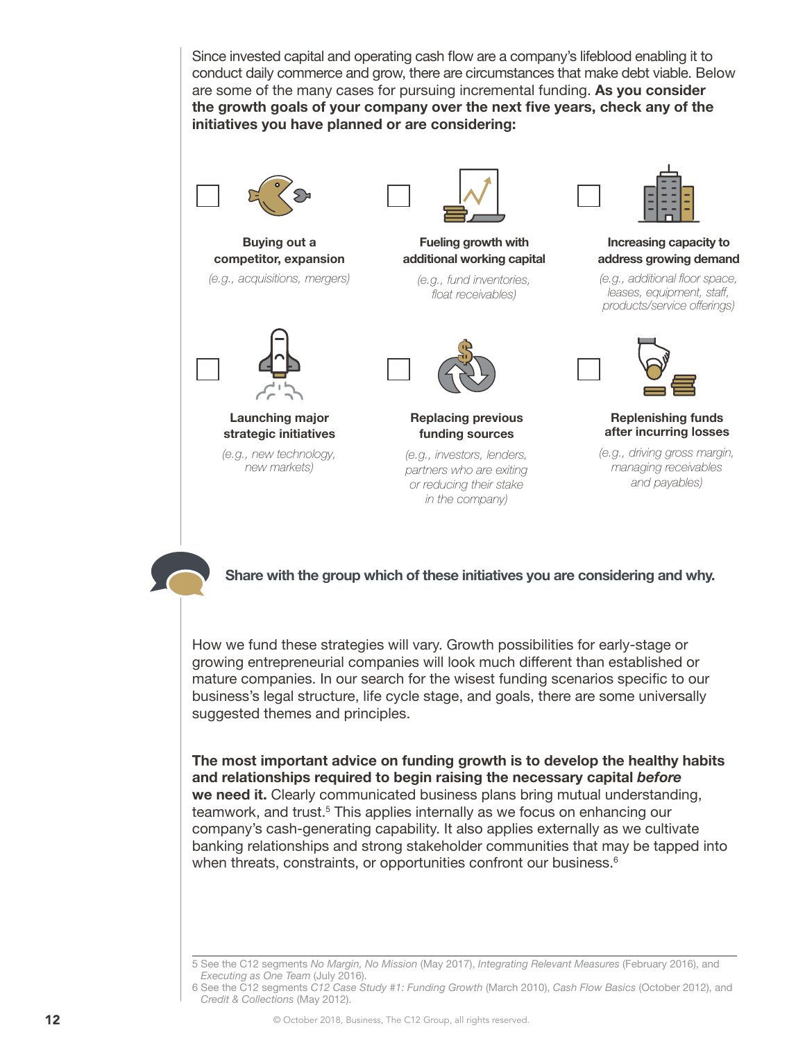Since invested capital and operating cash flow are a company's lifeblood enabling it to conduct daily commerce and grow, there are circumstances that make debt viable. Below are some of the many cases for pursuing incremental funding. **As you consider the growth goals of your company over the next five years, check any of the initiatives you have planned or are considering:**



**Buying out a competitor, expansion** *(e.g., acquisitions, mergers)*



## **Launching major strategic initiatives**

*(e.g., new technology, new markets)*



**Fueling growth with additional working capital**

*(e.g., fund inventories, float receivables)*



**Replacing previous funding sources** 

*(e.g., investors, lenders, partners who are exiting or reducing their stake in the company)*



**Increasing capacity to address growing demand**

*(e.g., additional floor space, leases, equipment, staff, products/service offerings)*



**Replenishing funds after incurring losses**

*(e.g., driving gross margin, managing receivables and payables)*



**Share with the group which of these initiatives you are considering and why.**

How we fund these strategies will vary. Growth possibilities for early-stage or growing entrepreneurial companies will look much different than established or mature companies. In our search for the wisest funding scenarios specific to our business's legal structure, life cycle stage, and goals, there are some universally suggested themes and principles.

**The most important advice on funding growth is to develop the healthy habits and relationships required to begin raising the necessary capital** *before* **we need it.** Clearly communicated business plans bring mutual understanding, teamwork, and trust.<sup>5</sup> This applies internally as we focus on enhancing our company's cash-generating capability. It also applies externally as we cultivate banking relationships and strong stakeholder communities that may be tapped into when threats, constraints, or opportunities confront our business.<sup>6</sup>

<sup>5</sup> See the C12 segments *No Margin, No Mission* (May 2017), *Integrating Relevant Measures* (February 2016), and *Executing as One Team* (July 2016).

<sup>6</sup> See the C12 segments *C12 Case Study #1: Funding Growth* (March 2010), *Cash Flow Basics* (October 2012), and *Credit & Collections* (May 2012).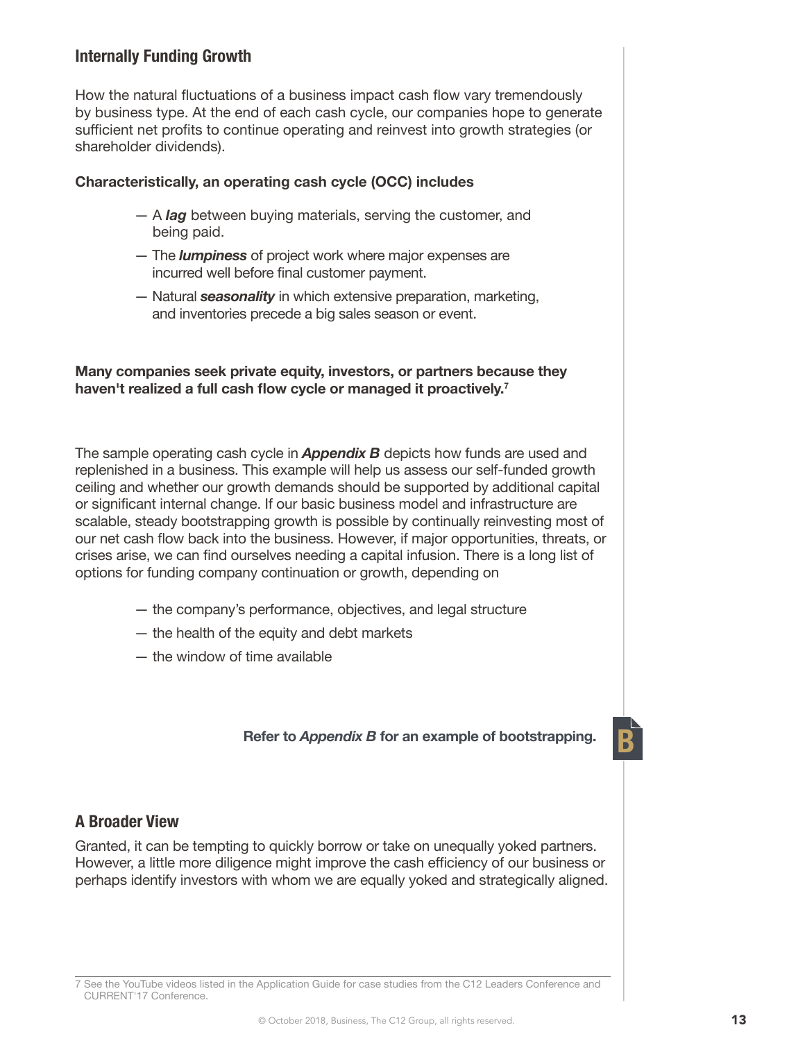# **Internally Funding Growth**

How the natural fluctuations of a business impact cash flow vary tremendously by business type. At the end of each cash cycle, our companies hope to generate sufficient net profits to continue operating and reinvest into growth strategies (or shareholder dividends).

#### **Characteristically, an operating cash cycle (OCC) includes**

- A *lag* between buying materials, serving the customer, and being paid.
- The *lumpiness* of project work where major expenses are incurred well before final customer payment.
- Natural *seasonality* in which extensive preparation, marketing, and inventories precede a big sales season or event.

#### **Many companies seek private equity, investors, or partners because they haven't realized a full cash flow cycle or managed it proactively.<sup>7</sup>**

The sample operating cash cycle in *Appendix B* depicts how funds are used and replenished in a business. This example will help us assess our self-funded growth ceiling and whether our growth demands should be supported by additional capital or significant internal change. If our basic business model and infrastructure are scalable, steady bootstrapping growth is possible by continually reinvesting most of our net cash flow back into the business. However, if major opportunities, threats, or crises arise, we can find ourselves needing a capital infusion. There is a long list of options for funding company continuation or growth, depending on

- the company's performance, objectives, and legal structure
- the health of the equity and debt markets
- the window of time available

## **B Refer to** *Appendix B* **for an example of bootstrapping.**

#### **A Broader View**

Granted, it can be tempting to quickly borrow or take on unequally yoked partners. However, a little more diligence might improve the cash efficiency of our business or perhaps identify investors with whom we are equally yoked and strategically aligned.

7 See the YouTube videos listed in the Application Guide for case studies from the C12 Leaders Conference and CURRENT'17 Conference.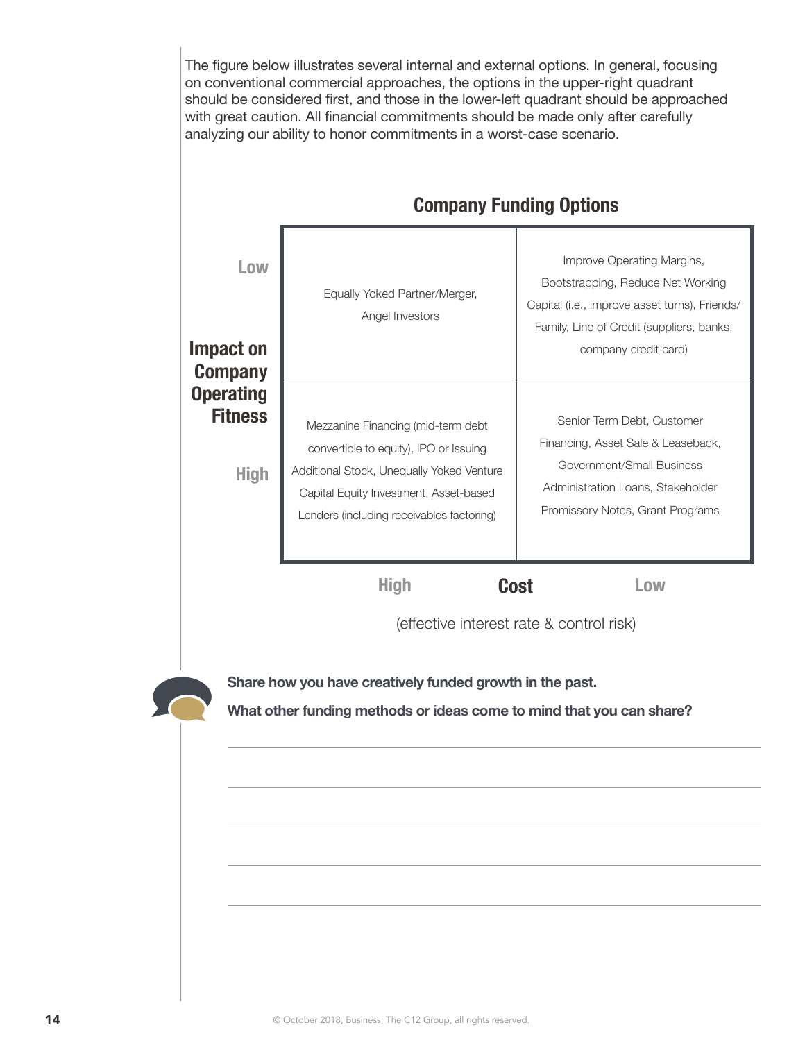The figure below illustrates several internal and external options. In general, focusing on conventional commercial approaches, the options in the upper-right quadrant should be considered first, and those in the lower-left quadrant should be approached with great caution. All financial commitments should be made only after carefully analyzing our ability to honor commitments in a worst-case scenario.

| <b>Company Funding Options</b>                    |                                                                                                                                                                                                                  |                                                                                                                                                                                       |  |  |
|---------------------------------------------------|------------------------------------------------------------------------------------------------------------------------------------------------------------------------------------------------------------------|---------------------------------------------------------------------------------------------------------------------------------------------------------------------------------------|--|--|
| Low<br>Impact on<br><b>Company</b>                | Equally Yoked Partner/Merger,<br>Angel Investors                                                                                                                                                                 | Improve Operating Margins,<br>Bootstrapping, Reduce Net Working<br>Capital (i.e., improve asset turns), Friends/<br>Family, Line of Credit (suppliers, banks,<br>company credit card) |  |  |
| <b>Operating</b><br><b>Fitness</b><br><b>High</b> | Mezzanine Financing (mid-term debt<br>convertible to equity), IPO or Issuing<br>Additional Stock, Unequally Yoked Venture<br>Capital Equity Investment, Asset-based<br>Lenders (including receivables factoring) | Senior Term Debt, Customer<br>Financing, Asset Sale & Leaseback,<br>Government/Small Business<br>Administration Loans, Stakeholder<br>Promissory Notes, Grant Programs                |  |  |
|                                                   | <b>High</b>                                                                                                                                                                                                      | <b>Cost</b><br>Low<br>(effective interest rate & control risk)                                                                                                                        |  |  |
|                                                   | Share how you have creatively funded growth in the past.<br>What other funding methods or ideas come to mind that you can share?                                                                                 |                                                                                                                                                                                       |  |  |
|                                                   |                                                                                                                                                                                                                  |                                                                                                                                                                                       |  |  |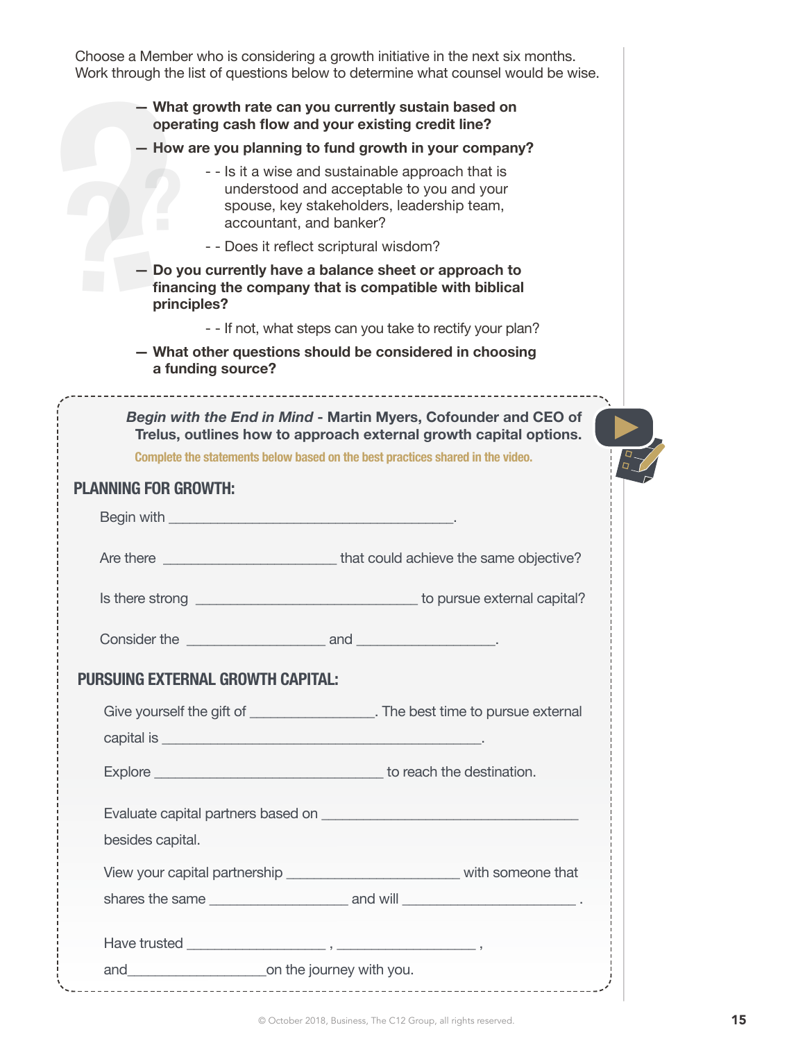Choose a Member who is considering a growth initiative in the next six months. Work through the list of questions below to determine what counsel would be wise. **??? — What growth rate can you currently sustain based on operating cash flow and your existing credit line? — How are you planning to fund growth in your company?**  - - Is it a wise and sustainable approach that is understood and acceptable to you and your spouse, key stakeholders, leadership team, accountant, and banker? - - Does it reflect scriptural wisdom? **— Do you currently have a balance sheet or approach to financing the company that is compatible with biblical principles?** - - If not, what steps can you take to rectify your plan? **— What other questions should be considered in choosing a funding source?** *Begin with the End in Mind* **- Martin Myers, Cofounder and CEO of Trelus, outlines how to approach external growth capital options. Complete the statements below based on the best practices shared in the video. PLANNING FOR GROWTH:** Begin with the state of the state of the state of the state of the state of the state of the state of the state of the state of the state of the state of the state of the state of the state of the state of the state of the Are there **Are there**  $\blacksquare$  that could achieve the same objective? Is there strong **Is there strong**  $\sim$  1.0  $\sim$  1.0  $\sim$  1.0  $\sim$  1.0  $\sim$  1.0  $\sim$  1.0  $\sim$  1.0  $\sim$  1.0  $\sim$  1.0  $\sim$  1.0  $\sim$  1.0  $\sim$  1.0  $\sim$  1.0  $\sim$  1.0  $\sim$  1.0  $\sim$  1.0  $\sim$  1.0  $\sim$  1.0  $\sim$  1.0  $\sim$  1.0  $\sim$  1.0 Consider the the constant of the constant of the constant of the constant of the constant of the constant of the constant of the constant of the constant of the constant of the constant of the constant of the constant of t **PURSUING EXTERNAL GROWTH CAPITAL:** Give yourself the gift of \_\_\_\_\_\_\_\_\_\_\_\_\_\_\_\_\_\_. The best time to pursue external capital is \_\_\_\_\_\_\_\_\_\_\_\_\_\_\_\_\_\_\_\_\_\_\_\_\_\_\_\_\_\_\_\_\_\_\_\_\_\_\_\_\_\_\_\_\_\_. Explore **Explore Explore Explore Explore Explore Explore Explore Explore Explore Explore Explore Explore Explore Explore Explore Explore Explore Explore Explore EXPLORE** Evaluate capital partners based on \_\_\_\_\_\_\_\_\_\_\_\_\_\_\_\_\_\_\_\_\_\_\_\_\_\_\_\_\_\_\_\_\_\_\_\_\_ besides capital. View your capital partnership view your capital partnership shares the same the same that  $\alpha$  and will  $\alpha$  is the same of  $\alpha$  . Have trusted \_\_\_\_\_\_\_\_\_\_\_\_\_\_\_\_\_\_\_\_ , \_\_\_\_\_\_\_\_\_\_\_\_\_\_\_\_\_\_\_\_ , and\_\_\_\_\_\_\_\_\_\_\_\_\_\_\_\_\_\_\_\_on the journey with you.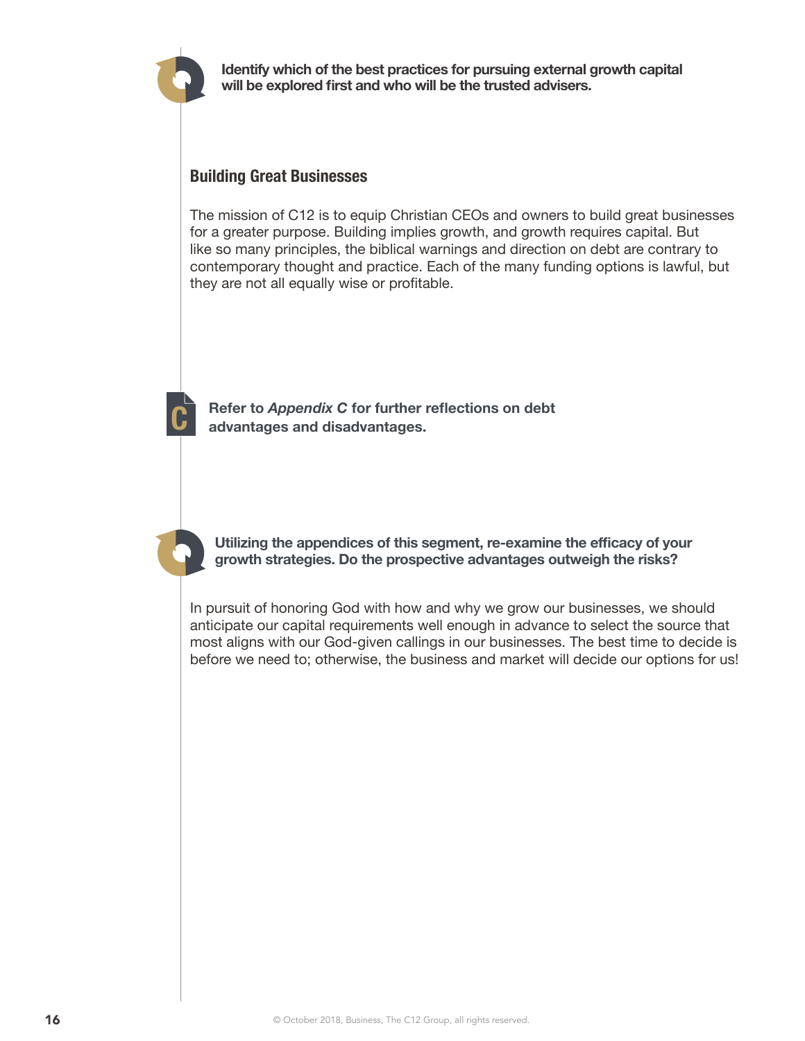

**Identify which of the best practices for pursuing external growth capital will be explored first and who will be the trusted advisers.**

# **Building Great Businesses**

The mission of C12 is to equip Christian CEOs and owners to build great businesses for a greater purpose. Building implies growth, and growth requires capital. But like so many principles, the biblical warnings and direction on debt are contrary to contemporary thought and practice. Each of the many funding options is lawful, but they are not all equally wise or profitable.

**C Refer to** *Appendix C* **for further reflections on debt advantages and disadvantages.**

**Utilizing the appendices of this segment, re-examine the efficacy of your growth strategies. Do the prospective advantages outweigh the risks?**

In pursuit of honoring God with how and why we grow our businesses, we should anticipate our capital requirements well enough in advance to select the source that most aligns with our God-given callings in our businesses. The best time to decide is before we need to; otherwise, the business and market will decide our options for us!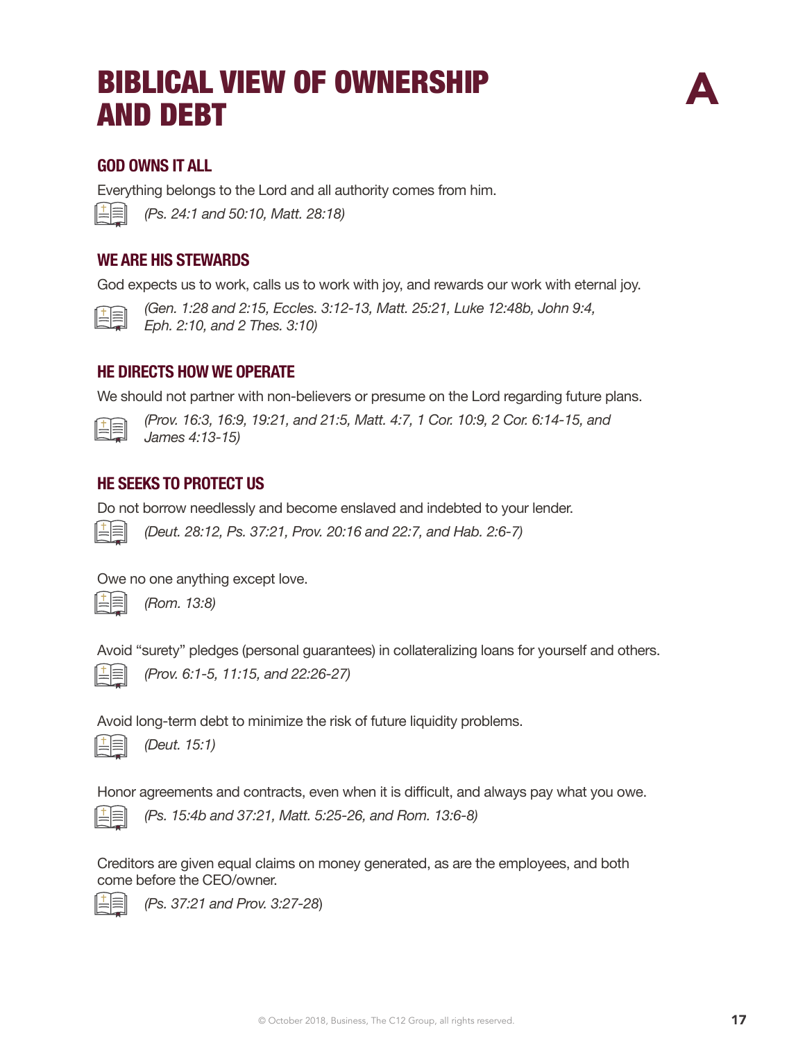# BIBLICAL VIEW OF OWNERSHIP<br>AND DEBT



# **GOD OWNS IT ALL**

Everything belongs to the Lord and all authority comes from him.

| and the control of the con- |
|-----------------------------|
|                             |

*(Ps. 24:1 and 50:10, Matt. 28:18)*

# **WE ARE HIS STEWARDS**

God expects us to work, calls us to work with joy, and rewards our work with eternal joy.



*(Gen. 1:28 and 2:15, Eccles. 3:12-13, Matt. 25:21, Luke 12:48b, John 9:4, Eph. 2:10, and 2 Thes. 3:10)*

# **HE DIRECTS HOW WE OPERATE**

We should not partner with non-believers or presume on the Lord regarding future plans.



*(Prov. 16:3, 16:9, 19:21, and 21:5, Matt. 4:7, 1 Cor. 10:9, 2 Cor. 6:14-15, and James 4:13-15)*

# **HE SEEKS TO PROTECT US**

Do not borrow needlessly and become enslaved and indebted to your lender.

*(Deut. 28:12, Ps. 37:21, Prov. 20:16 and 22:7, and Hab. 2:6-7)*

Owe no one anything except love.



*(Rom. 13:8)*

Avoid "surety" pledges (personal guarantees) in collateralizing loans for yourself and others.



*(Prov. 6:1-5, 11:15, and 22:26-27)* 

Avoid long-term debt to minimize the risk of future liquidity problems.



*(Deut. 15:1)*

Honor agreements and contracts, even when it is difficult, and always pay what you owe.



*(Ps. 15:4b and 37:21, Matt. 5:25-26, and Rom. 13:6-8)*

Creditors are given equal claims on money generated, as are the employees, and both come before the CEO/owner.



*(Ps. 37:21 and Prov. 3:27-28*)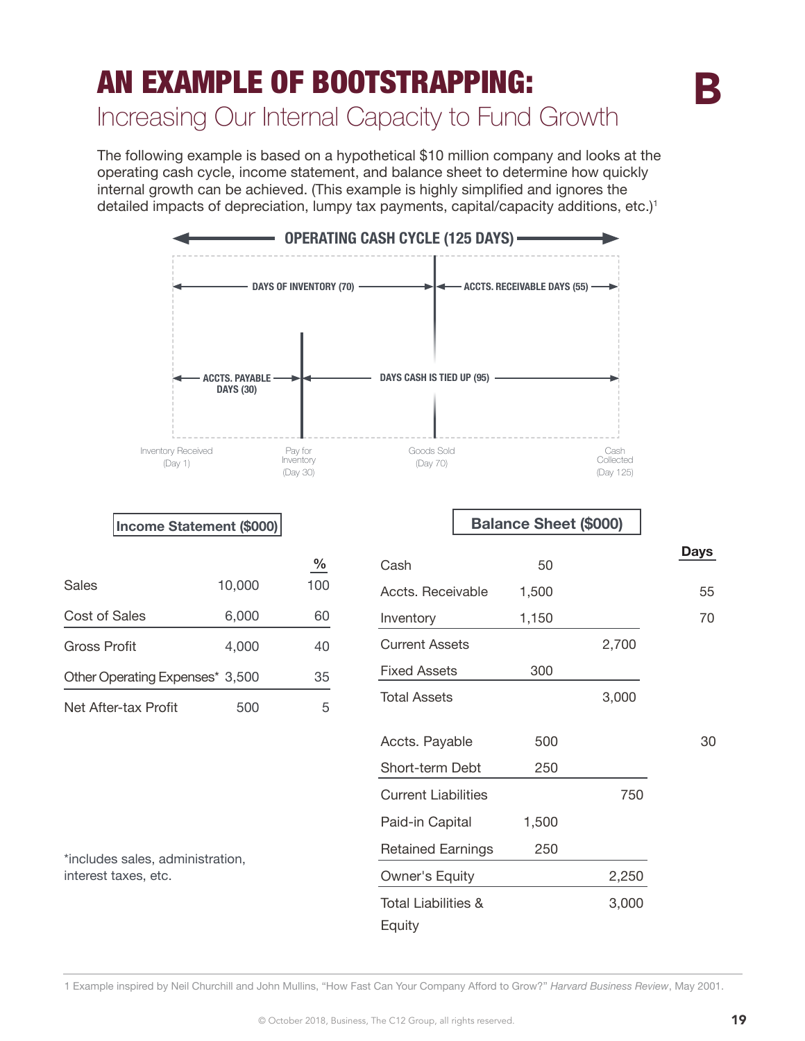# AN EXAMPLE OF BOOTSTRAPPING: Increasing Our Internal Capacity to Fund Growth

The following example is based on a hypothetical \$10 million company and looks at the operating cash cycle, income statement, and balance sheet to determine how quickly internal growth can be achieved. (This example is highly simplified and ignores the detailed impacts of depreciation, lumpy tax payments, capital/capacity additions, etc.)<sup>1</sup>



1 Example inspired by Neil Churchill and John Mullins, "How Fast Can Your Company Afford to Grow?" *Harvard Business Review*, May 2001.

B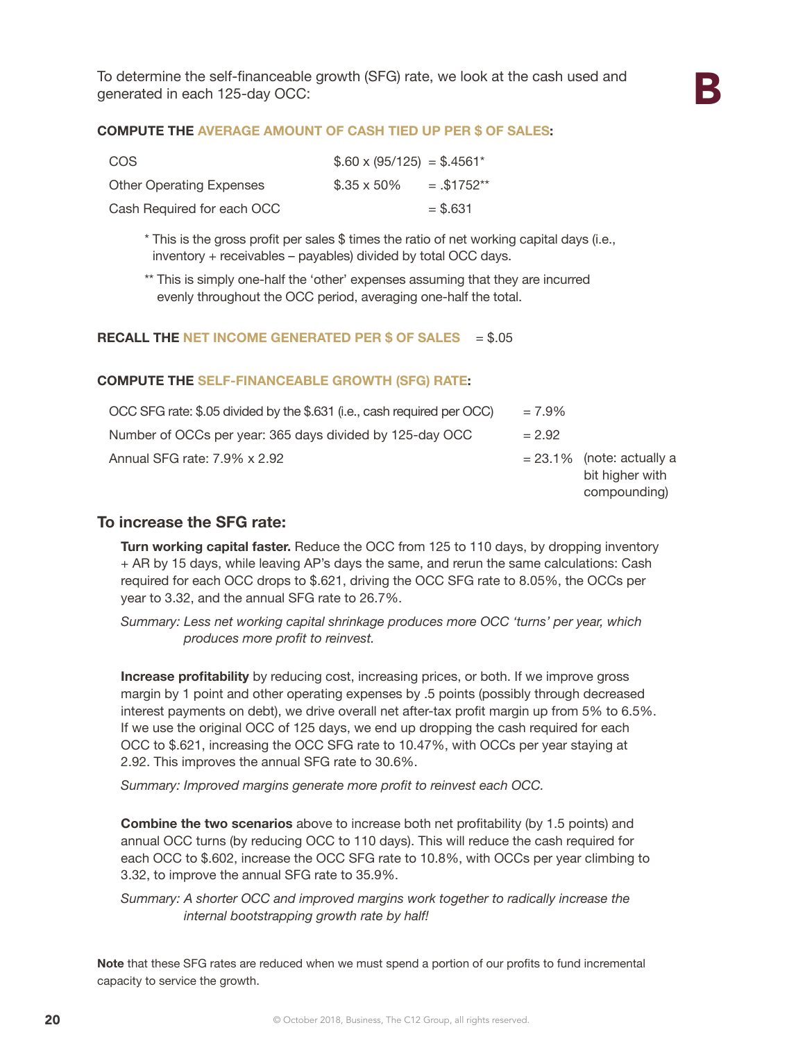#### **COMPUTE THE AVERAGE AMOUNT OF CASH TIED UP PER \$ OF SALES:**

| COS                             | $$.60 \times (95/125) = $.4561^*$ |              |
|---------------------------------|-----------------------------------|--------------|
| <b>Other Operating Expenses</b> | $$.35 \times 50\%$                | $=.\$1752**$ |
| Cash Required for each OCC      |                                   | $=$ \$.631   |

\* This is the gross profit per sales \$ times the ratio of net working capital days (i.e., inventory + receivables – payables) divided by total OCC days.

\*\* This is simply one-half the 'other' expenses assuming that they are incurred evenly throughout the OCC period, averaging one-half the total.

#### **RECALL THE NET INCOME GENERATED PER \$ OF SALES** = \$.05

#### **COMPUTE THE SELF-FINANCEABLE GROWTH (SFG) RATE:**

| OCC SFG rate: \$.05 divided by the \$.631 (i.e., cash required per OCC) | $= 7.9\%$ |                                                                 |
|-------------------------------------------------------------------------|-----------|-----------------------------------------------------------------|
| Number of OCCs per year: 365 days divided by 125-day OCC                | $= 2.92$  |                                                                 |
| Annual SFG rate: 7.9% x 2.92                                            |           | $= 23.1\%$ (note: actually a<br>bit higher with<br>compounding) |

#### **To increase the SFG rate:**

**Turn working capital faster.** Reduce the OCC from 125 to 110 days, by dropping inventory + AR by 15 days, while leaving AP's days the same, and rerun the same calculations: Cash required for each OCC drops to \$.621, driving the OCC SFG rate to 8.05%, the OCCs per year to 3.32, and the annual SFG rate to 26.7%.

*Summary: Less net working capital shrinkage produces more OCC 'turns' per year, which produces more profit to reinvest.*

**Increase profitability** by reducing cost, increasing prices, or both. If we improve gross margin by 1 point and other operating expenses by .5 points (possibly through decreased interest payments on debt), we drive overall net after-tax profit margin up from 5% to 6.5%. If we use the original OCC of 125 days, we end up dropping the cash required for each OCC to \$.621, increasing the OCC SFG rate to 10.47%, with OCCs per year staying at 2.92. This improves the annual SFG rate to 30.6%.

*Summary: Improved margins generate more profit to reinvest each OCC.*

**Combine the two scenarios** above to increase both net profitability (by 1.5 points) and annual OCC turns (by reducing OCC to 110 days). This will reduce the cash required for each OCC to \$.602, increase the OCC SFG rate to 10.8%, with OCCs per year climbing to 3.32, to improve the annual SFG rate to 35.9%.

*Summary: A shorter OCC and improved margins work together to radically increase the internal bootstrapping growth rate by half!*

**Note** that these SFG rates are reduced when we must spend a portion of our profits to fund incremental capacity to service the growth.